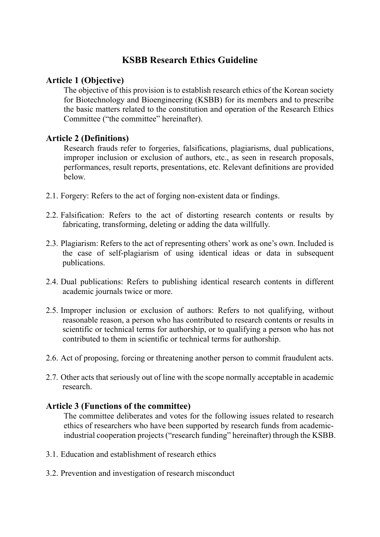# **KSBB Research Ethics Guideline**

# **Article 1 (Objective)**

The objective of this provision is to establish research ethics of the Korean society for Biotechnology and Bioengineering (KSBB) for its members and to prescribe the basic matters related to the constitution and operation of the Research Ethics Committee ("the committee" hereinafter).

# **Article 2 (Definitions)**

Research frauds refer to forgeries, falsifications, plagiarisms, dual publications, improper inclusion or exclusion of authors, etc., as seen in research proposals, performances, result reports, presentations, etc. Relevant definitions are provided below.

- 2.1. Forgery: Refers to the act of forging non-existent data or findings.
- 2.2. Falsification: Refers to the act of distorting research contents or results by fabricating, transforming, deleting or adding the data willfully.
- 2.3. Plagiarism: Refers to the act of representing others' work as one's own. Included is the case of self-plagiarism of using identical ideas or data in subsequent publications.
- 2.4. Dual publications: Refers to publishing identical research contents in different academic journals twice or more.
- 2.5. Improper inclusion or exclusion of authors: Refers to not qualifying, without reasonable reason, a person who has contributed to research contents or results in scientific or technical terms for authorship, or to qualifying a person who has not contributed to them in scientific or technical terms for authorship.
- 2.6. Act of proposing, forcing or threatening another person to commit fraudulent acts.
- 2.7. Other acts that seriously out of line with the scope normally acceptable in academic research.

#### **Article 3 (Functions of the committee)**

The committee deliberates and votes for the following issues related to research ethics of researchers who have been supported by research funds from academicindustrial cooperation projects ("research funding" hereinafter) through the KSBB.

- 3.1. Education and establishment of research ethics
- 3.2. Prevention and investigation of research misconduct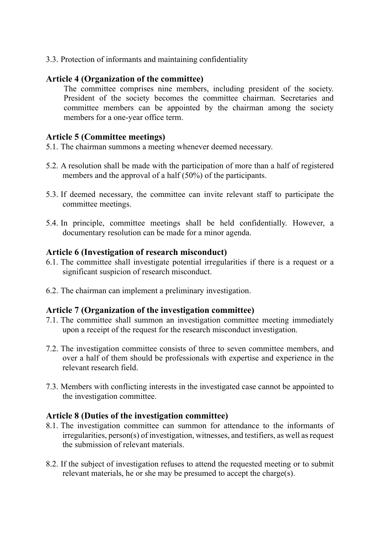3.3. Protection of informants and maintaining confidentiality

### **Article 4 (Organization of the committee)**

The committee comprises nine members, including president of the society. President of the society becomes the committee chairman. Secretaries and committee members can be appointed by the chairman among the society members for a one-year office term.

### **Article 5 (Committee meetings)**

5.1. The chairman summons a meeting whenever deemed necessary.

- 5.2. A resolution shall be made with the participation of more than a half of registered members and the approval of a half (50%) of the participants.
- 5.3. If deemed necessary, the committee can invite relevant staff to participate the committee meetings.
- 5.4. In principle, committee meetings shall be held confidentially. However, a documentary resolution can be made for a minor agenda.

#### **Article 6 (Investigation of research misconduct)**

- 6.1. The committee shall investigate potential irregularities if there is a request or a significant suspicion of research misconduct.
- 6.2. The chairman can implement a preliminary investigation.

#### **Article 7 (Organization of the investigation committee)**

- 7.1. The committee shall summon an investigation committee meeting immediately upon a receipt of the request for the research misconduct investigation.
- 7.2. The investigation committee consists of three to seven committee members, and over a half of them should be professionals with expertise and experience in the relevant research field.
- 7.3. Members with conflicting interests in the investigated case cannot be appointed to the investigation committee.

#### **Article 8 (Duties of the investigation committee)**

- 8.1. The investigation committee can summon for attendance to the informants of irregularities, person(s) of investigation, witnesses, and testifiers, as well as request the submission of relevant materials.
- 8.2. If the subject of investigation refuses to attend the requested meeting or to submit relevant materials, he or she may be presumed to accept the charge(s).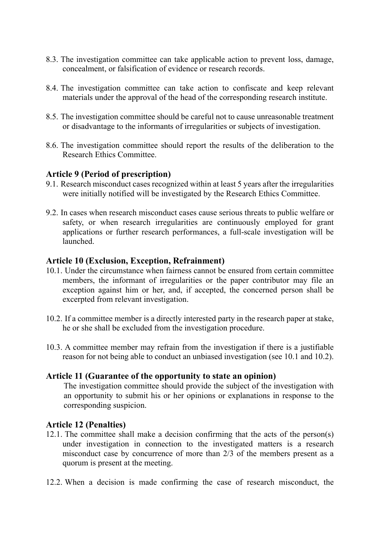- 8.3. The investigation committee can take applicable action to prevent loss, damage, concealment, or falsification of evidence or research records.
- 8.4. The investigation committee can take action to confiscate and keep relevant materials under the approval of the head of the corresponding research institute.
- 8.5. The investigation committee should be careful not to cause unreasonable treatment or disadvantage to the informants of irregularities or subjects of investigation.
- 8.6. The investigation committee should report the results of the deliberation to the Research Ethics Committee.

# **Article 9 (Period of prescription)**

- 9.1. Research misconduct cases recognized within at least 5 years after the irregularities were initially notified will be investigated by the Research Ethics Committee.
- 9.2. In cases when research misconduct cases cause serious threats to public welfare or safety, or when research irregularities are continuously employed for grant applications or further research performances, a full-scale investigation will be launched.

#### **Article 10 (Exclusion, Exception, Refrainment)**

- 10.1. Under the circumstance when fairness cannot be ensured from certain committee members, the informant of irregularities or the paper contributor may file an exception against him or her, and, if accepted, the concerned person shall be excerpted from relevant investigation.
- 10.2. If a committee member is a directly interested party in the research paper at stake, he or she shall be excluded from the investigation procedure.
- 10.3. A committee member may refrain from the investigation if there is a justifiable reason for not being able to conduct an unbiased investigation (see 10.1 and 10.2).

#### **Article 11 (Guarantee of the opportunity to state an opinion)**

The investigation committee should provide the subject of the investigation with an opportunity to submit his or her opinions or explanations in response to the corresponding suspicion.

#### **Article 12 (Penalties)**

- 12.1. The committee shall make a decision confirming that the acts of the person(s) under investigation in connection to the investigated matters is a research misconduct case by concurrence of more than 2/3 of the members present as a quorum is present at the meeting.
- 12.2. When a decision is made confirming the case of research misconduct, the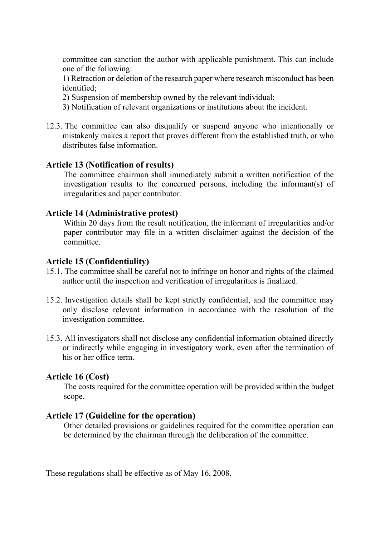committee can sanction the author with applicable punishment. This can include one of the following:

1) Retraction or deletion of the research paper where research misconduct has been identified;

- 2) Suspension of membership owned by the relevant individual;
- 3) Notification of relevant organizations or institutions about the incident.
- 12.3. The committee can also disqualify or suspend anyone who intentionally or mistakenly makes a report that proves different from the established truth, or who distributes false information.

# **Article 13 (Notification of results)**

The committee chairman shall immediately submit a written notification of the investigation results to the concerned persons, including the informant(s) of irregularities and paper contributor.

#### **Article 14 (Administrative protest)**

Within 20 days from the result notification, the informant of irregularities and/or paper contributor may file in a written disclaimer against the decision of the committee.

#### **Article 15 (Confidentiality)**

- 15.1. The committee shall be careful not to infringe on honor and rights of the claimed author until the inspection and verification of irregularities is finalized.
- 15.2. Investigation details shall be kept strictly confidential, and the committee may only disclose relevant information in accordance with the resolution of the investigation committee.
- 15.3. All investigators shall not disclose any confidential information obtained directly or indirectly while engaging in investigatory work, even after the termination of his or her office term.

#### **Article 16 (Cost)**

The costs required for the committee operation will be provided within the budget scope.

#### **Article 17 (Guideline for the operation)**

Other detailed provisions or guidelines required for the committee operation can be determined by the chairman through the deliberation of the committee.

These regulations shall be effective as of May 16, 2008.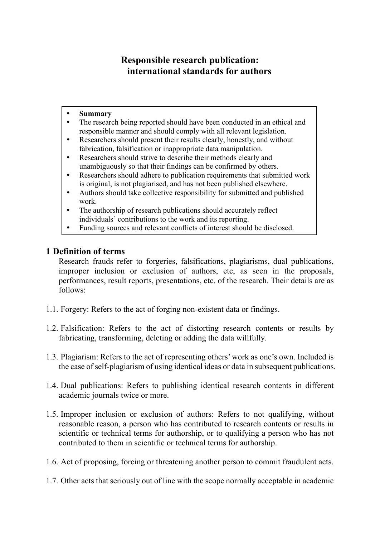# **Responsible research publication: international standards for authors**

#### **Summary**

- The research being reported should have been conducted in an ethical and responsible manner and should comply with all relevant legislation.
- Researchers should present their results clearly, honestly, and without fabrication, falsification or inappropriate data manipulation.
- Researchers should strive to describe their methods clearly and unambiguously so that their findings can be confirmed by others.
- Researchers should adhere to publication requirements that submitted work is original, is not plagiarised, and has not been published elsewhere.
- Authors should take collective responsibility for submitted and published work.
- The authorship of research publications should accurately reflect individuals' contributions to the work and its reporting.
- Funding sources and relevant conflicts of interest should be disclosed.

# **1 Definition of terms**

Research frauds refer to forgeries, falsifications, plagiarisms, dual publications, improper inclusion or exclusion of authors, etc, as seen in the proposals, performances, result reports, presentations, etc. of the research. Their details are as follows:

- 1.1. Forgery: Refers to the act of forging non-existent data or findings.
- 1.2. Falsification: Refers to the act of distorting research contents or results by fabricating, transforming, deleting or adding the data willfully.
- 1.3. Plagiarism: Refers to the act of representing others' work as one's own. Included is the case of self-plagiarism of using identical ideas or data in subsequent publications.
- 1.4. Dual publications: Refers to publishing identical research contents in different academic journals twice or more.
- 1.5. Improper inclusion or exclusion of authors: Refers to not qualifying, without reasonable reason, a person who has contributed to research contents or results in scientific or technical terms for authorship, or to qualifying a person who has not contributed to them in scientific or technical terms for authorship.
- 1.6. Act of proposing, forcing or threatening another person to commit fraudulent acts.
- 1.7. Other acts that seriously out of line with the scope normally acceptable in academic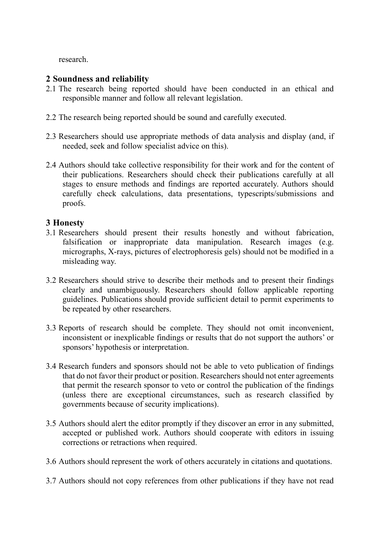research.

# **2 Soundness and reliability**

- 2.1 The research being reported should have been conducted in an ethical and responsible manner and follow all relevant legislation.
- 2.2 The research being reported should be sound and carefully executed.
- 2.3 Researchers should use appropriate methods of data analysis and display (and, if needed, seek and follow specialist advice on this).
- 2.4 Authors should take collective responsibility for their work and for the content of their publications. Researchers should check their publications carefully at all stages to ensure methods and findings are reported accurately. Authors should carefully check calculations, data presentations, typescripts/submissions and proofs.

# **3 Honesty**

- 3.1 Researchers should present their results honestly and without fabrication, falsification or inappropriate data manipulation. Research images (e.g. micrographs, X-rays, pictures of electrophoresis gels) should not be modified in a misleading way.
- 3.2 Researchers should strive to describe their methods and to present their findings clearly and unambiguously. Researchers should follow applicable reporting guidelines. Publications should provide sufficient detail to permit experiments to be repeated by other researchers.
- 3.3 Reports of research should be complete. They should not omit inconvenient, inconsistent or inexplicable findings or results that do not support the authors' or sponsors' hypothesis or interpretation.
- 3.4 Research funders and sponsors should not be able to veto publication of findings that do not favor their product or position. Researchers should not enter agreements that permit the research sponsor to veto or control the publication of the findings (unless there are exceptional circumstances, such as research classified by governments because of security implications).
- 3.5 Authors should alert the editor promptly if they discover an error in any submitted, accepted or published work. Authors should cooperate with editors in issuing corrections or retractions when required.
- 3.6 Authors should represent the work of others accurately in citations and quotations.
- 3.7 Authors should not copy references from other publications if they have not read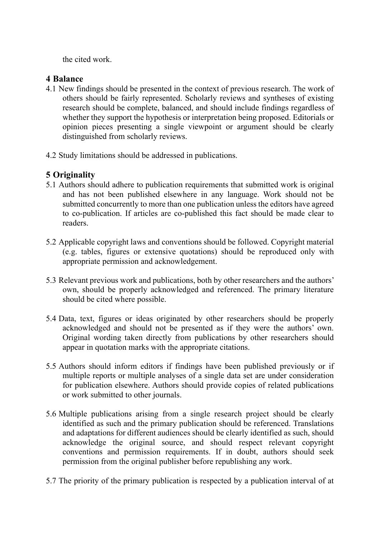the cited work.

# **4 Balance**

- 4.1 New findings should be presented in the context of previous research. The work of others should be fairly represented. Scholarly reviews and syntheses of existing research should be complete, balanced, and should include findings regardless of whether they support the hypothesis or interpretation being proposed. Editorials or opinion pieces presenting a single viewpoint or argument should be clearly distinguished from scholarly reviews.
- 4.2 Study limitations should be addressed in publications.

# **5 Originality**

- 5.1 Authors should adhere to publication requirements that submitted work is original and has not been published elsewhere in any language. Work should not be submitted concurrently to more than one publication unless the editors have agreed to co-publication. If articles are co-published this fact should be made clear to readers.
- 5.2 Applicable copyright laws and conventions should be followed. Copyright material (e.g. tables, figures or extensive quotations) should be reproduced only with appropriate permission and acknowledgement.
- 5.3 Relevant previous work and publications, both by other researchers and the authors' own, should be properly acknowledged and referenced. The primary literature should be cited where possible.
- 5.4 Data, text, figures or ideas originated by other researchers should be properly acknowledged and should not be presented as if they were the authors' own. Original wording taken directly from publications by other researchers should appear in quotation marks with the appropriate citations.
- 5.5 Authors should inform editors if findings have been published previously or if multiple reports or multiple analyses of a single data set are under consideration for publication elsewhere. Authors should provide copies of related publications or work submitted to other journals.
- 5.6 Multiple publications arising from a single research project should be clearly identified as such and the primary publication should be referenced. Translations and adaptations for different audiences should be clearly identified as such, should acknowledge the original source, and should respect relevant copyright conventions and permission requirements. If in doubt, authors should seek permission from the original publisher before republishing any work.
- 5.7 The priority of the primary publication is respected by a publication interval of at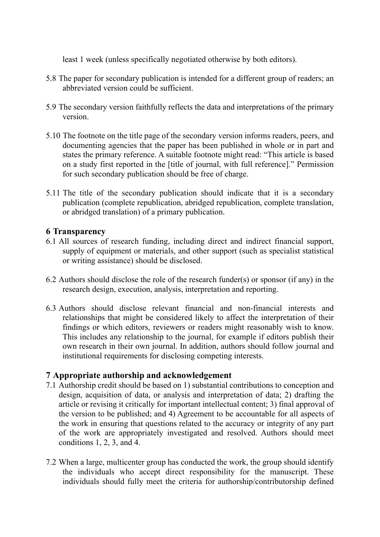least 1 week (unless specifically negotiated otherwise by both editors).

- 5.8 The paper for secondary publication is intended for a different group of readers; an abbreviated version could be sufficient.
- 5.9 The secondary version faithfully reflects the data and interpretations of the primary version.
- 5.10 The footnote on the title page of the secondary version informs readers, peers, and documenting agencies that the paper has been published in whole or in part and states the primary reference. A suitable footnote might read: "This article is based on a study first reported in the [title of journal, with full reference]." Permission for such secondary publication should be free of charge.
- 5.11 The title of the secondary publication should indicate that it is a secondary publication (complete republication, abridged republication, complete translation, or abridged translation) of a primary publication.

# **6 Transparency**

- 6.1 All sources of research funding, including direct and indirect financial support, supply of equipment or materials, and other support (such as specialist statistical or writing assistance) should be disclosed.
- 6.2 Authors should disclose the role of the research funder(s) or sponsor (if any) in the research design, execution, analysis, interpretation and reporting.
- 6.3 Authors should disclose relevant financial and non-financial interests and relationships that might be considered likely to affect the interpretation of their findings or which editors, reviewers or readers might reasonably wish to know. This includes any relationship to the journal, for example if editors publish their own research in their own journal. In addition, authors should follow journal and institutional requirements for disclosing competing interests.

# **7 Appropriate authorship and acknowledgement**

- 7.1 Authorship credit should be based on 1) substantial contributions to conception and design, acquisition of data, or analysis and interpretation of data; 2) drafting the article or revising it critically for important intellectual content; 3) final approval of the version to be published; and 4) Agreement to be accountable for all aspects of the work in ensuring that questions related to the accuracy or integrity of any part of the work are appropriately investigated and resolved. Authors should meet conditions 1, 2, 3, and 4.
- 7.2 When a large, multicenter group has conducted the work, the group should identify the individuals who accept direct responsibility for the manuscript. These individuals should fully meet the criteria for authorship/contributorship defined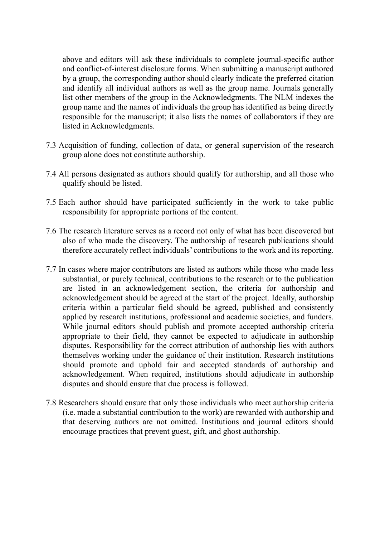above and editors will ask these individuals to complete journal-specific author and conflict-of-interest disclosure forms. When submitting a manuscript authored by a group, the corresponding author should clearly indicate the preferred citation and identify all individual authors as well as the group name. Journals generally list other members of the group in the Acknowledgments. The NLM indexes the group name and the names of individuals the group has identified as being directly responsible for the manuscript; it also lists the names of collaborators if they are listed in Acknowledgments.

- 7.3 Acquisition of funding, collection of data, or general supervision of the research group alone does not constitute authorship.
- 7.4 All persons designated as authors should qualify for authorship, and all those who qualify should be listed.
- 7.5 Each author should have participated sufficiently in the work to take public responsibility for appropriate portions of the content.
- 7.6 The research literature serves as a record not only of what has been discovered but also of who made the discovery. The authorship of research publications should therefore accurately reflect individuals' contributions to the work and its reporting.
- 7.7 In cases where major contributors are listed as authors while those who made less substantial, or purely technical, contributions to the research or to the publication are listed in an acknowledgement section, the criteria for authorship and acknowledgement should be agreed at the start of the project. Ideally, authorship criteria within a particular field should be agreed, published and consistently applied by research institutions, professional and academic societies, and funders. While journal editors should publish and promote accepted authorship criteria appropriate to their field, they cannot be expected to adjudicate in authorship disputes. Responsibility for the correct attribution of authorship lies with authors themselves working under the guidance of their institution. Research institutions should promote and uphold fair and accepted standards of authorship and acknowledgement. When required, institutions should adjudicate in authorship disputes and should ensure that due process is followed.
- 7.8 Researchers should ensure that only those individuals who meet authorship criteria (i.e. made a substantial contribution to the work) are rewarded with authorship and that deserving authors are not omitted. Institutions and journal editors should encourage practices that prevent guest, gift, and ghost authorship.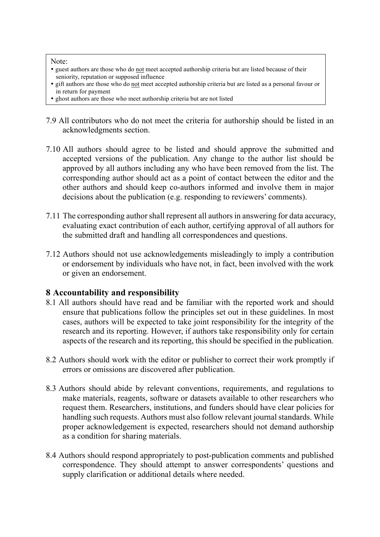#### Note:

- guest authors are those who do not meet accepted authorship criteria but are listed because of their seniority, reputation or supposed influence
- gift authors are those who do not meet accepted authorship criteria but are listed as a personal favour or in return for payment
- ghost authors are those who meet authorship criteria but are not listed
- 7.9 All contributors who do not meet the criteria for authorship should be listed in an acknowledgments section.
- 7.10 All authors should agree to be listed and should approve the submitted and accepted versions of the publication. Any change to the author list should be approved by all authors including any who have been removed from the list. The corresponding author should act as a point of contact between the editor and the other authors and should keep co-authors informed and involve them in major decisions about the publication (e.g. responding to reviewers' comments).
- 7.11 The corresponding author shall represent all authors in answering for data accuracy, evaluating exact contribution of each author, certifying approval of all authors for the submitted draft and handling all correspondences and questions.
- 7.12 Authors should not use acknowledgements misleadingly to imply a contribution or endorsement by individuals who have not, in fact, been involved with the work or given an endorsement.

# **8 Accountability and responsibility**

- 8.1 All authors should have read and be familiar with the reported work and should ensure that publications follow the principles set out in these guidelines. In most cases, authors will be expected to take joint responsibility for the integrity of the research and its reporting. However, if authors take responsibility only for certain aspects of the research and its reporting, this should be specified in the publication.
- 8.2 Authors should work with the editor or publisher to correct their work promptly if errors or omissions are discovered after publication.
- 8.3 Authors should abide by relevant conventions, requirements, and regulations to make materials, reagents, software or datasets available to other researchers who request them. Researchers, institutions, and funders should have clear policies for handling such requests. Authors must also follow relevant journal standards. While proper acknowledgement is expected, researchers should not demand authorship as a condition for sharing materials.
- 8.4 Authors should respond appropriately to post-publication comments and published correspondence. They should attempt to answer correspondents' questions and supply clarification or additional details where needed.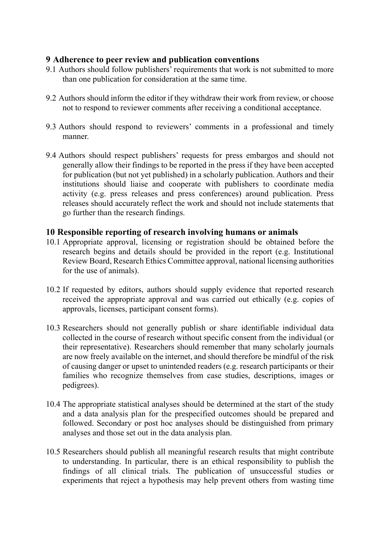# **9 Adherence to peer review and publication conventions**

- 9.1 Authors should follow publishers' requirements that work is not submitted to more than one publication for consideration at the same time.
- 9.2 Authors should inform the editor if they withdraw their work from review, or choose not to respond to reviewer comments after receiving a conditional acceptance.
- 9.3 Authors should respond to reviewers' comments in a professional and timely manner.
- 9.4 Authors should respect publishers' requests for press embargos and should not generally allow their findings to be reported in the press if they have been accepted for publication (but not yet published) in a scholarly publication. Authors and their institutions should liaise and cooperate with publishers to coordinate media activity (e.g. press releases and press conferences) around publication. Press releases should accurately reflect the work and should not include statements that go further than the research findings.

#### **10 Responsible reporting of research involving humans or animals**

- 10.1 Appropriate approval, licensing or registration should be obtained before the research begins and details should be provided in the report (e.g. Institutional Review Board, Research Ethics Committee approval, national licensing authorities for the use of animals).
- 10.2 If requested by editors, authors should supply evidence that reported research received the appropriate approval and was carried out ethically (e.g. copies of approvals, licenses, participant consent forms).
- 10.3 Researchers should not generally publish or share identifiable individual data collected in the course of research without specific consent from the individual (or their representative). Researchers should remember that many scholarly journals are now freely available on the internet, and should therefore be mindful of the risk of causing danger or upset to unintended readers (e.g. research participants or their families who recognize themselves from case studies, descriptions, images or pedigrees).
- 10.4 The appropriate statistical analyses should be determined at the start of the study and a data analysis plan for the prespecified outcomes should be prepared and followed. Secondary or post hoc analyses should be distinguished from primary analyses and those set out in the data analysis plan.
- 10.5 Researchers should publish all meaningful research results that might contribute to understanding. In particular, there is an ethical responsibility to publish the findings of all clinical trials. The publication of unsuccessful studies or experiments that reject a hypothesis may help prevent others from wasting time